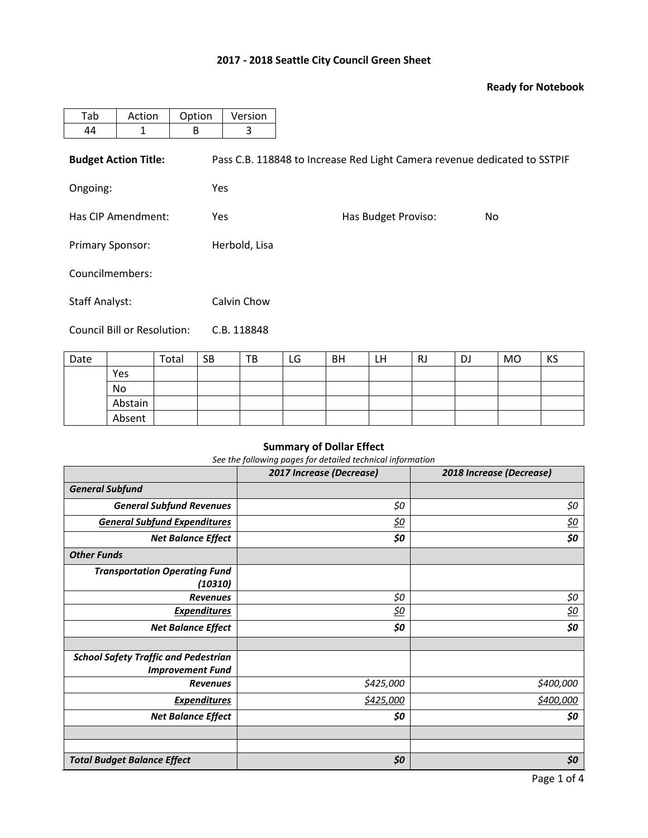# **2017 - 2018 Seattle City Council Green Sheet**

### **Ready for Notebook**

| Tab                         | Action                      | Option | Version                                                                   |                            |  |  |  |  |  |  |
|-----------------------------|-----------------------------|--------|---------------------------------------------------------------------------|----------------------------|--|--|--|--|--|--|
| 44                          | 1                           | B      | 3                                                                         |                            |  |  |  |  |  |  |
|                             | <b>Budget Action Title:</b> |        | Pass C.B. 118848 to Increase Red Light Camera revenue dedicated to SSTPIF |                            |  |  |  |  |  |  |
| Ongoing:                    |                             |        | <b>Yes</b>                                                                |                            |  |  |  |  |  |  |
| Has CIP Amendment:          |                             |        | <b>Yes</b>                                                                | Has Budget Proviso:<br>No. |  |  |  |  |  |  |
| <b>Primary Sponsor:</b>     |                             |        | Herbold, Lisa                                                             |                            |  |  |  |  |  |  |
| Councilmembers:             |                             |        |                                                                           |                            |  |  |  |  |  |  |
| <b>Staff Analyst:</b>       |                             |        | Calvin Chow                                                               |                            |  |  |  |  |  |  |
| Council Bill or Resolution: |                             |        | C.B. 118848                                                               |                            |  |  |  |  |  |  |

| Date |         | Total | <b>SB</b> | TB | LG | <b>BH</b> | LΗ | RJ | DJ | MO | KS |
|------|---------|-------|-----------|----|----|-----------|----|----|----|----|----|
|      | Yes     |       |           |    |    |           |    |    |    |    |    |
|      | No      |       |           |    |    |           |    |    |    |    |    |
|      | Abstain |       |           |    |    |           |    |    |    |    |    |
|      | Absent  |       |           |    |    |           |    |    |    |    |    |

## **Summary of Dollar Effect**

*See the following pages for detailed technical information*

|                                                                        | 2017 Increase (Decrease) | 2018 Increase (Decrease) |
|------------------------------------------------------------------------|--------------------------|--------------------------|
| <b>General Subfund</b>                                                 |                          |                          |
| <b>General Subfund Revenues</b>                                        | \$0                      | \$0                      |
| <b>General Subfund Expenditures</b>                                    | <u>\$0</u>               | <u>\$0</u>               |
| <b>Net Balance Effect</b>                                              | \$0                      | \$0                      |
| <b>Other Funds</b>                                                     |                          |                          |
| <b>Transportation Operating Fund</b><br>(10310)                        |                          |                          |
| <b>Revenues</b>                                                        | \$0                      | \$0                      |
| <b>Expenditures</b>                                                    | <u>\$0</u>               | <u>\$0</u>               |
| <b>Net Balance Effect</b>                                              | \$0                      | \$0                      |
|                                                                        |                          |                          |
| <b>School Safety Traffic and Pedestrian</b><br><b>Improvement Fund</b> |                          |                          |
| <b>Revenues</b>                                                        | \$425,000                | \$400,000                |
| <b>Expenditures</b>                                                    | \$425,000                | \$400,000                |
| <b>Net Balance Effect</b>                                              | \$0                      | \$0                      |
|                                                                        |                          |                          |
|                                                                        |                          |                          |
| <b>Total Budget Balance Effect</b>                                     | \$0                      | \$0                      |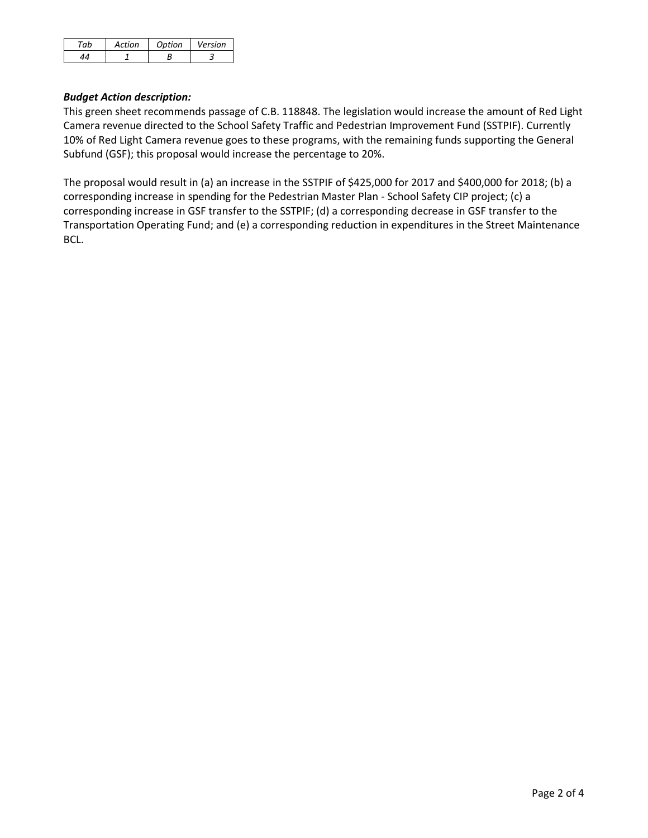| Action | Ontion | Version |
|--------|--------|---------|
|        |        |         |

### *Budget Action description:*

This green sheet recommends passage of C.B. 118848. The legislation would increase the amount of Red Light Camera revenue directed to the School Safety Traffic and Pedestrian Improvement Fund (SSTPIF). Currently 10% of Red Light Camera revenue goes to these programs, with the remaining funds supporting the General Subfund (GSF); this proposal would increase the percentage to 20%.

The proposal would result in (a) an increase in the SSTPIF of \$425,000 for 2017 and \$400,000 for 2018; (b) a corresponding increase in spending for the Pedestrian Master Plan - School Safety CIP project; (c) a corresponding increase in GSF transfer to the SSTPIF; (d) a corresponding decrease in GSF transfer to the Transportation Operating Fund; and (e) a corresponding reduction in expenditures in the Street Maintenance BCL.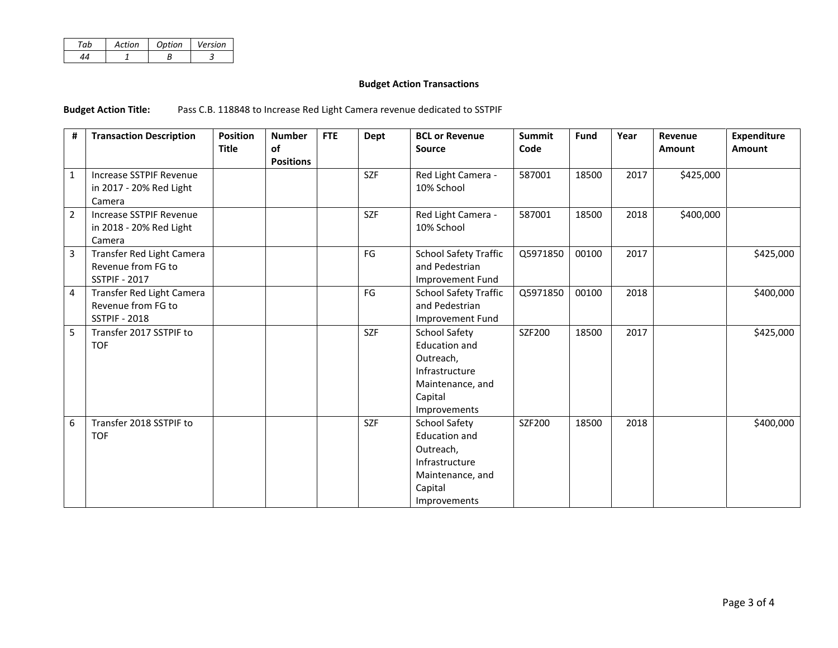| Artion | Option | Version |
|--------|--------|---------|
|        |        |         |

### **Budget Action Transactions**

**Budget Action Title:** Pass C.B. 118848 to Increase Red Light Camera revenue dedicated to SSTPIF

| #              | <b>Transaction Description</b> | <b>Position</b> | <b>Number</b>    | <b>FTE</b> | Dept       | <b>BCL or Revenue</b>        | <b>Summit</b> | Fund  | Year | Revenue       | <b>Expenditure</b> |
|----------------|--------------------------------|-----------------|------------------|------------|------------|------------------------------|---------------|-------|------|---------------|--------------------|
|                |                                | <b>Title</b>    | of               |            |            | <b>Source</b>                | Code          |       |      | <b>Amount</b> | <b>Amount</b>      |
|                |                                |                 | <b>Positions</b> |            |            |                              |               |       |      |               |                    |
| $\mathbf{1}$   | Increase SSTPIF Revenue        |                 |                  |            | <b>SZF</b> | Red Light Camera -           | 587001        | 18500 | 2017 | \$425,000     |                    |
|                | in 2017 - 20% Red Light        |                 |                  |            |            | 10% School                   |               |       |      |               |                    |
|                | Camera                         |                 |                  |            |            |                              |               |       |      |               |                    |
| $\overline{2}$ | Increase SSTPIF Revenue        |                 |                  |            | <b>SZF</b> | Red Light Camera -           | 587001        | 18500 | 2018 | \$400,000     |                    |
|                | in 2018 - 20% Red Light        |                 |                  |            |            | 10% School                   |               |       |      |               |                    |
|                | Camera                         |                 |                  |            |            |                              |               |       |      |               |                    |
| $\mathbf{3}$   | Transfer Red Light Camera      |                 |                  |            | FG         | <b>School Safety Traffic</b> | Q5971850      | 00100 | 2017 |               | \$425,000          |
|                | Revenue from FG to             |                 |                  |            |            | and Pedestrian               |               |       |      |               |                    |
|                | <b>SSTPIF - 2017</b>           |                 |                  |            |            | Improvement Fund             |               |       |      |               |                    |
| 4              | Transfer Red Light Camera      |                 |                  |            | FG         | <b>School Safety Traffic</b> | Q5971850      | 00100 | 2018 |               | \$400,000          |
|                | Revenue from FG to             |                 |                  |            |            | and Pedestrian               |               |       |      |               |                    |
|                | <b>SSTPIF - 2018</b>           |                 |                  |            |            | Improvement Fund             |               |       |      |               |                    |
| 5              | Transfer 2017 SSTPIF to        |                 |                  |            | <b>SZF</b> | School Safety                | SZF200        | 18500 | 2017 |               | \$425,000          |
|                | <b>TOF</b>                     |                 |                  |            |            | <b>Education and</b>         |               |       |      |               |                    |
|                |                                |                 |                  |            |            | Outreach,                    |               |       |      |               |                    |
|                |                                |                 |                  |            |            | Infrastructure               |               |       |      |               |                    |
|                |                                |                 |                  |            |            | Maintenance, and             |               |       |      |               |                    |
|                |                                |                 |                  |            |            | Capital                      |               |       |      |               |                    |
|                |                                |                 |                  |            |            | Improvements                 |               |       |      |               |                    |
| 6              | Transfer 2018 SSTPIF to        |                 |                  |            | <b>SZF</b> | <b>School Safety</b>         | SZF200        | 18500 | 2018 |               | \$400,000          |
|                | <b>TOF</b>                     |                 |                  |            |            | Education and                |               |       |      |               |                    |
|                |                                |                 |                  |            |            | Outreach,                    |               |       |      |               |                    |
|                |                                |                 |                  |            |            | Infrastructure               |               |       |      |               |                    |
|                |                                |                 |                  |            |            | Maintenance, and             |               |       |      |               |                    |
|                |                                |                 |                  |            |            | Capital                      |               |       |      |               |                    |
|                |                                |                 |                  |            |            | Improvements                 |               |       |      |               |                    |